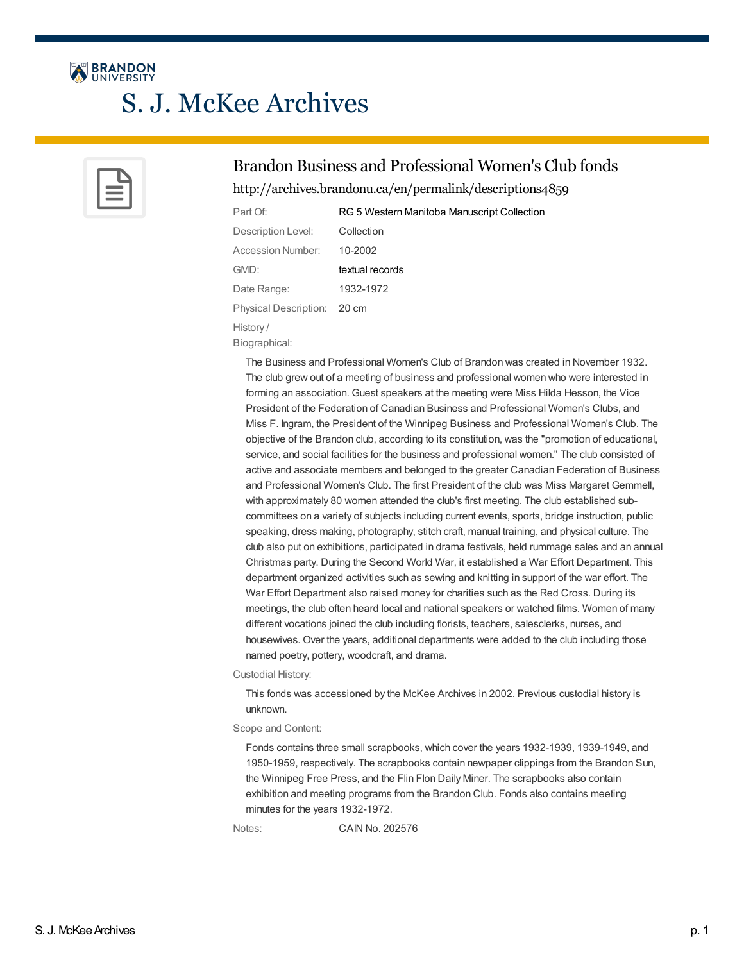

# S. J. McKee Archives



## Brandon Business and Professional Women's Club fonds

<http://archives.brandonu.ca/en/permalink/descriptions4859>

| Part Of:                    | RG 5 Western Manitoba Manuscript Collection |
|-----------------------------|---------------------------------------------|
| Description Level:          | Collection                                  |
| Accession Number:           | 10-2002                                     |
| GMD:                        | textual records                             |
| Date Range:                 | 1932-1972                                   |
| Physical Description: 20 cm |                                             |
| History/                    |                                             |

Biographical:

The Business and Professional Women's Club of Brandon was created in November 1932. The club grew out of a meeting of business and professional women who were interested in forming an association. Guest speakers at the meeting were Miss Hilda Hesson, the Vice President of the Federation of Canadian Business and Professional Women's Clubs, and Miss F. Ingram, the President of the Winnipeg Business and Professional Women's Club. The objective of the Brandon club, according to its constitution, was the "promotion of educational, service, and social facilities for the business and professional women." The club consisted of active and associate members and belonged to the greater Canadian Federation of Business and Professional Women's Club. The first President of the club was Miss Margaret Gemmell, with approximately 80 women attended the club's first meeting. The club established subcommittees on a variety of subjects including current events, sports, bridge instruction, public speaking, dress making, photography, stitch craft, manual training, and physical culture. The club also put on exhibitions, participated in drama festivals, held rummage sales and an annual Christmas party. During the Second World War, it established a War Effort Department. This department organized activities such as sewing and knitting in support of the war effort. The War Effort Department also raised money for charities such as the Red Cross. During its meetings, the club often heard local and national speakers or watched films. Women of many different vocations joined the club including florists, teachers, salesclerks, nurses, and housewives. Over the years, additional departments were added to the club including those named poetry, pottery, woodcraft, and drama.

Custodial History:

This fonds was accessioned by the McKee Archives in 2002. Previous custodial history is unknown.

Scope and Content:

Fonds contains three small scrapbooks, which cover the years 1932-1939, 1939-1949, and 1950-1959, respectively. The scrapbooks contain newpaper clippings from the Brandon Sun, the Winnipeg Free Press, and the Flin Flon Daily Miner. The scrapbooks also contain exhibition and meeting programs from the Brandon Club. Fonds also contains meeting minutes for the years 1932-1972.

Notes: CAIN No. 202576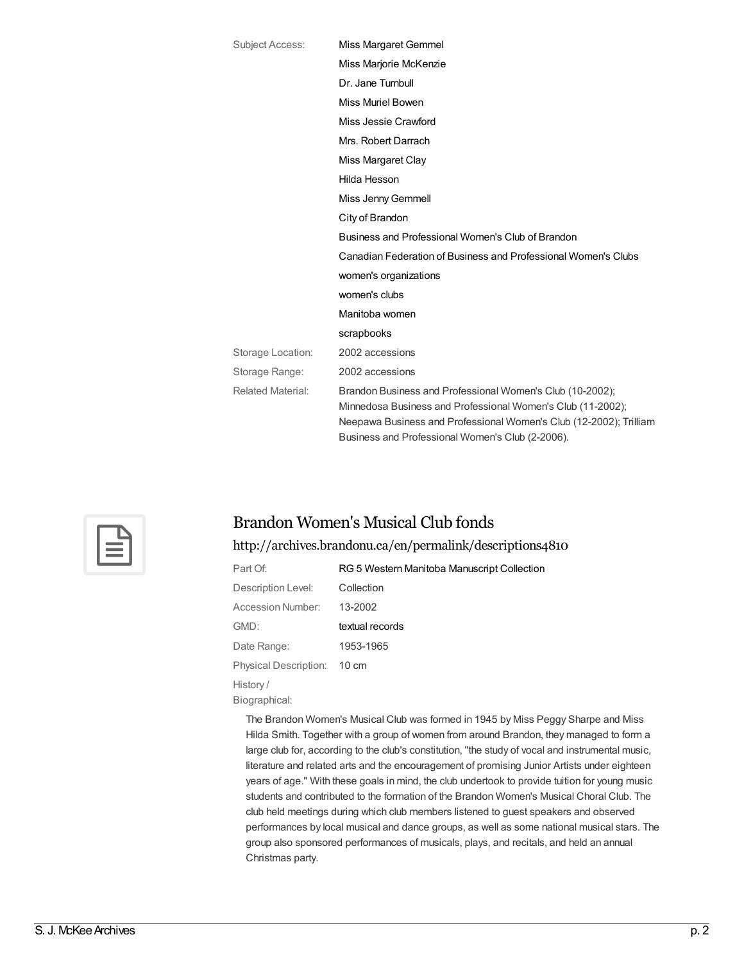| <b>Subject Access:</b>   | Miss Margaret Gemmel                                                                                                                                                                                                                               |
|--------------------------|----------------------------------------------------------------------------------------------------------------------------------------------------------------------------------------------------------------------------------------------------|
|                          | Miss Marjorie McKenzie                                                                                                                                                                                                                             |
|                          | Dr. Jane Turnbull                                                                                                                                                                                                                                  |
|                          | Miss Muriel Bowen                                                                                                                                                                                                                                  |
|                          | Miss Jessie Crawford                                                                                                                                                                                                                               |
|                          | Mrs. Robert Darrach                                                                                                                                                                                                                                |
|                          | Miss Margaret Clay                                                                                                                                                                                                                                 |
|                          | Hilda Hesson                                                                                                                                                                                                                                       |
|                          | Miss Jenny Gemmell                                                                                                                                                                                                                                 |
|                          | City of Brandon                                                                                                                                                                                                                                    |
|                          | Business and Professional Women's Club of Brandon                                                                                                                                                                                                  |
|                          | Canadian Federation of Business and Professional Women's Clubs                                                                                                                                                                                     |
|                          | women's organizations                                                                                                                                                                                                                              |
|                          | women's clubs                                                                                                                                                                                                                                      |
|                          | Manitoba women                                                                                                                                                                                                                                     |
|                          | scrapbooks                                                                                                                                                                                                                                         |
| Storage Location:        | 2002 accessions                                                                                                                                                                                                                                    |
| Storage Range:           | 2002 accessions                                                                                                                                                                                                                                    |
| <b>Related Material:</b> | Brandon Business and Professional Women's Club (10-2002);<br>Minnedosa Business and Professional Women's Club (11-2002);<br>Neepawa Business and Professional Women's Club (12-2002); Trilliam<br>Business and Professional Women's Club (2-2006). |



## Brandon Women's Musical Club fonds

#### <http://archives.brandonu.ca/en/permalink/descriptions4810>

| Part Of:                     | RG 5 Western Manitoba Manuscript Collection |
|------------------------------|---------------------------------------------|
| Description Level:           | Collection                                  |
| Accession Number:            | 13-2002                                     |
| GMD:                         | textual records                             |
| Date Range:                  | 1953-1965                                   |
| <b>Physical Description:</b> | $10 \text{ cm}$                             |
| History/                     |                                             |
| Biographical:                |                                             |

The Brandon Women's Musical Club was formed in 1945 by Miss Peggy Sharpe and Miss Hilda Smith. Together with a group of women from around Brandon, they managed to form a large club for, according to the club's constitution, "the study of vocal and instrumental music, literature and related arts and the encouragement of promising Junior Artists under eighteen years of age." With these goals in mind, the club undertook to provide tuition for young music students and contributed to the formation of the Brandon Women's Musical Choral Club. The club held meetings during which club members listened to guest speakers and observed performances by local musical and dance groups, as well as some national musical stars. The group also sponsored performances of musicals, plays, and recitals, and held an annual Christmas party.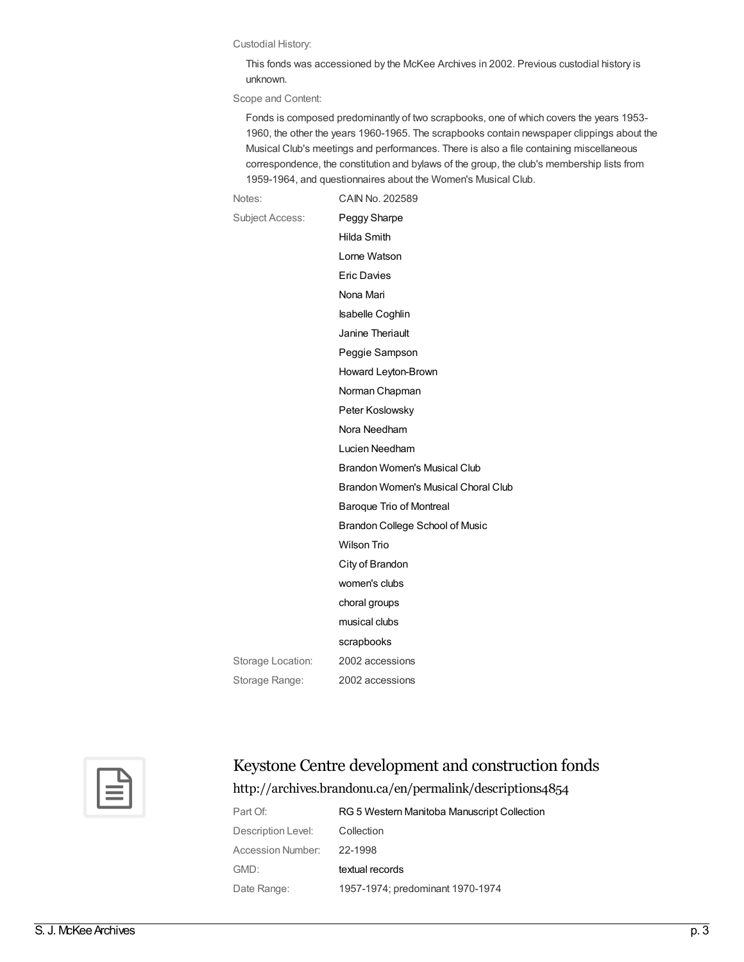#### Custodial History:

This fonds was accessioned by the McKee Archives in 2002. Previous custodial history is unknown.

Scope and Content:

Fonds is composed predominantly of two scrapbooks, one of which covers the years 1953- 1960, the other the years 1960-1965. The scrapbooks contain newspaper clippings about the Musical Club's meetings and performances. There is also a file containing miscellaneous correspondence, the constitution and bylaws of the group, the club's membership lists from 1959-1964, and questionnaires about the Women's Musical Club.

Notes: CAIN No. 202589 Subject Access: Peggy [Sharpe](http://archives.brandonu.ca/en/list?q=topic%3a%22Peggy+Sharpe%22&p=1&ps=&sort=title_sort+asc) Hilda [Smith](http://archives.brandonu.ca/en/list?q=topic%3a%22Hilda+Smith%22&p=1&ps=&sort=title_sort+asc) Lorne [Watson](http://archives.brandonu.ca/en/list?q=topic%3a%22Lorne+Watson%22&p=1&ps=&sort=title_sort+asc) Eric [Davies](http://archives.brandonu.ca/en/list?q=topic%3a%22Eric+Davies%22&p=1&ps=&sort=title_sort+asc) [Nona](http://archives.brandonu.ca/en/list?q=topic%3a%22Nona+Mari%22&p=1&ps=&sort=title_sort+asc) Mari [Isabelle](http://archives.brandonu.ca/en/list?q=topic%3a%22Isabelle+Coghlin%22&p=1&ps=&sort=title_sort+asc) Coghlin Janine [Theriault](http://archives.brandonu.ca/en/list?q=topic%3a%22Janine+Theriault%22&p=1&ps=&sort=title_sort+asc) Peggie [Sampson](http://archives.brandonu.ca/en/list?q=topic%3a%22Peggie+Sampson%22&p=1&ps=&sort=title_sort+asc) Howard [Leyton-Brown](http://archives.brandonu.ca/en/list?q=topic%3a%22Howard+Leyton-Brown%22&p=1&ps=&sort=title_sort+asc) Norman [Chapman](http://archives.brandonu.ca/en/list?q=topic%3a%22Norman+Chapman%22&p=1&ps=&sort=title_sort+asc) Peter [Koslowsky](http://archives.brandonu.ca/en/list?q=topic%3a%22Peter+Koslowsky%22&p=1&ps=&sort=title_sort+asc) Nora [Needham](http://archives.brandonu.ca/en/list?q=topic%3a%22Nora+Needham%22&p=1&ps=&sort=title_sort+asc) Lucien [Needham](http://archives.brandonu.ca/en/list?q=topic%3a%22Lucien+Needham%22&p=1&ps=&sort=title_sort+asc) Brandon [Women's](http://archives.brandonu.ca/en/list?q=topic%3a%22Brandon+Women%27s+Musical+Club%22&p=1&ps=&sort=title_sort+asc) Musical Club Brandon [Women's](http://archives.brandonu.ca/en/list?q=topic%3a%22Brandon+Women%27s+Musical+Choral+Club%22&p=1&ps=&sort=title_sort+asc) Musical Choral Club Baroque Trio of [Montreal](http://archives.brandonu.ca/en/list?q=topic%3a%22Baroque+Trio+of+Montreal%22&p=1&ps=&sort=title_sort+asc) [Brandon](http://archives.brandonu.ca/en/list?q=topic%3a%22Brandon+College+School+of+Music%22&p=1&ps=&sort=title_sort+asc) College School of Music [Wilson](http://archives.brandonu.ca/en/list?q=topic%3a%22Wilson+Trio%22&p=1&ps=&sort=title_sort+asc) Trio City of [Brandon](http://archives.brandonu.ca/en/list?q=topic%3a%22City+of+Brandon%22&p=1&ps=&sort=title_sort+asc) [women's](http://archives.brandonu.ca/en/list?q=topic%3a%22women%27s+clubs%22&p=1&ps=&sort=title_sort+asc) clubs choral [groups](http://archives.brandonu.ca/en/list?q=topic%3a%22choral+groups%22&p=1&ps=&sort=title_sort+asc) [musical](http://archives.brandonu.ca/en/list?q=topic%3a%22musical+clubs%22&p=1&ps=&sort=title_sort+asc) clubs [scrapbooks](http://archives.brandonu.ca/en/list?q=topic%3a%22scrapbooks%22&p=1&ps=&sort=title_sort+asc) Storage Location: 2002 accessions Storage Range: 2002 accessions



# Keystone Centre development and construction fonds

<http://archives.brandonu.ca/en/permalink/descriptions4854>

| Part Of:           | RG 5 Western Manitoba Manuscript Collection |
|--------------------|---------------------------------------------|
| Description Level: | Collection                                  |
| Accession Number:  | 22-1998                                     |
| GMD:               | textual records                             |
| Date Range:        | 1957-1974; predominant 1970-1974            |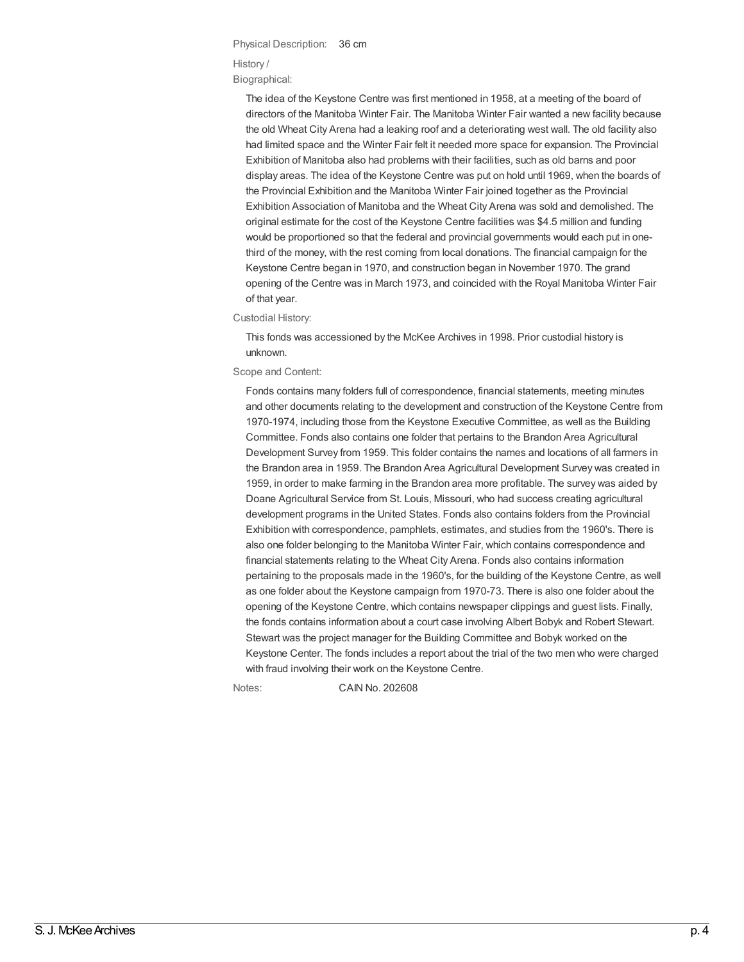### Physical Description: 36 cm History / Biographical:

The idea of the Keystone Centre was first mentioned in 1958, at a meeting of the board of directors of the Manitoba Winter Fair. The Manitoba Winter Fair wanted a new facility because the old Wheat City Arena had a leaking roof and a deteriorating west wall. The old facility also had limited space and the Winter Fair felt it needed more space for expansion. The Provincial Exhibition of Manitoba also had problems with their facilities, such as old barns and poor display areas. The idea of the Keystone Centre was put on hold until 1969, when the boards of the Provincial Exhibition and the Manitoba Winter Fair joined together as the Provincial Exhibition Association of Manitoba and the Wheat City Arena was sold and demolished. The original estimate for the cost of the Keystone Centre facilities was \$4.5 million and funding would be proportioned so that the federal and provincial governments would each put in onethird of the money, with the rest coming from local donations. The financial campaign for the Keystone Centre began in 1970, and construction began in November 1970. The grand opening of the Centre was in March 1973, and coincided with the Royal Manitoba Winter Fair of that year.

Custodial History:

This fonds was accessioned by the McKee Archives in 1998. Prior custodial history is unknown.

#### Scope and Content:

Fonds contains many folders full of correspondence, financial statements, meeting minutes and other documents relating to the development and construction of the Keystone Centre from 1970-1974, including those from the Keystone Executive Committee, as well as the Building Committee. Fonds also contains one folder that pertains to the Brandon Area Agricultural Development Survey from 1959. This folder contains the names and locations of all farmers in the Brandon area in 1959. The Brandon Area Agricultural Development Survey was created in 1959, in order to make farming in the Brandon area more profitable. The survey was aided by Doane Agricultural Service from St. Louis, Missouri, who had success creating agricultural development programs in the United States. Fonds also contains folders from the Provincial Exhibition with correspondence, pamphlets, estimates, and studies from the 1960's. There is also one folder belonging to the Manitoba Winter Fair, which contains correspondence and financial statements relating to the Wheat City Arena. Fonds also contains information pertaining to the proposals made in the 1960's, for the building of the Keystone Centre, as well as one folder about the Keystone campaign from 1970-73. There is also one folder about the opening of the Keystone Centre, which contains newspaper clippings and guest lists. Finally, the fonds contains information about a court case involving Albert Bobyk and Robert Stewart. Stewart was the project manager for the Building Committee and Bobyk worked on the Keystone Center. The fonds includes a report about the trial of the two men who were charged with fraud involving their work on the Keystone Centre.

Notes: CAIN No. 202608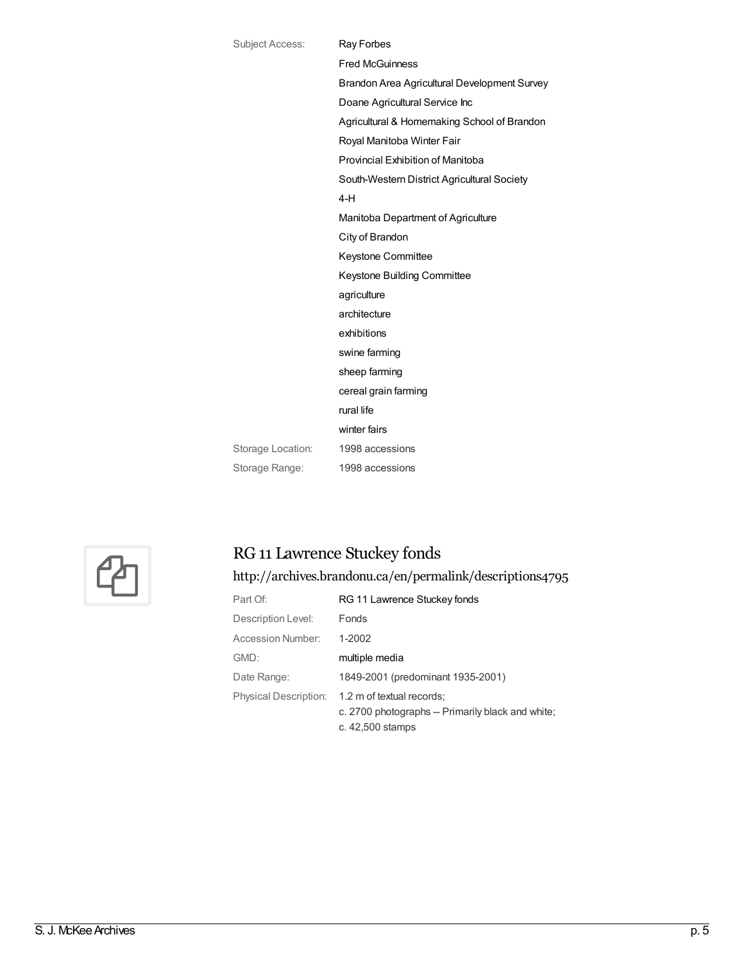| Subject Access:   | Ray Forbes                                   |
|-------------------|----------------------------------------------|
|                   | <b>Fred McGuinness</b>                       |
|                   | Brandon Area Agricultural Development Survey |
|                   | Doane Agricultural Service Inc               |
|                   | Agricultural & Homemaking School of Brandon  |
|                   | Royal Manitoba Winter Fair                   |
|                   | Provincial Exhibition of Manitoba            |
|                   | South-Western District Agricultural Society  |
|                   | $4-H$                                        |
|                   | Manitoba Department of Agriculture           |
|                   | City of Brandon                              |
|                   | Keystone Committee                           |
|                   | Keystone Building Committee                  |
|                   | agriculture                                  |
|                   | architecture                                 |
|                   | exhibitions                                  |
|                   | swine farming                                |
|                   | sheep farming                                |
|                   | cereal grain farming                         |
|                   | rural life                                   |
|                   | winter fairs                                 |
| Storage Location: | 1998 accessions                              |
| Storage Range:    | 1998 accessions                              |
|                   |                                              |



# RG 11 Lawrence Stuckey fonds

<http://archives.brandonu.ca/en/permalink/descriptions4795>

| Part Of:                     | RG 11 Lawrence Stuckey fonds                                                                       |
|------------------------------|----------------------------------------------------------------------------------------------------|
| Description Level:           | <b>Fonds</b>                                                                                       |
| Accession Number:            | $1-2002$                                                                                           |
| GMD:                         | multiple media                                                                                     |
| Date Range:                  | 1849-2001 (predominant 1935-2001)                                                                  |
| <b>Physical Description:</b> | 1.2 m of textual records;<br>c. 2700 photographs -- Primarily black and white;<br>c. 42,500 stamps |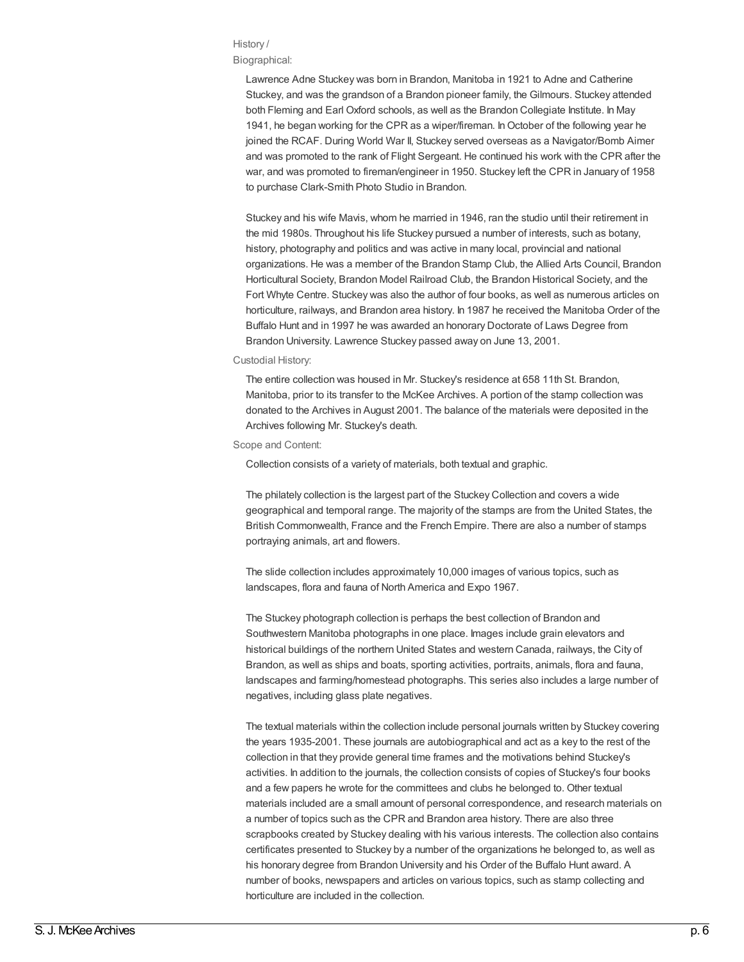### History /

Biographical:

Lawrence Adne Stuckey was born in Brandon, Manitoba in 1921 to Adne and Catherine Stuckey, and was the grandson of a Brandon pioneer family, the Gilmours. Stuckey attended both Fleming and Earl Oxford schools, as well as the Brandon Collegiate Institute. In May 1941, he began working for the CPR as a wiper/fireman. In October of the following year he joined the RCAF. During World War II, Stuckey served overseas as a Navigator/Bomb Aimer and was promoted to the rank of Flight Sergeant. He continued his work with the CPR after the war, and was promoted to fireman/engineer in 1950. Stuckey left the CPR in January of 1958 to purchase Clark-Smith Photo Studio in Brandon.

Stuckey and his wife Mavis, whom he married in 1946, ran the studio until their retirement in the mid 1980s. Throughout his life Stuckey pursued a number of interests, such as botany, history, photography and politics and was active in many local, provincial and national organizations. He was a member of the Brandon Stamp Club, the Allied Arts Council, Brandon Horticultural Society, Brandon Model Railroad Club, the Brandon Historical Society, and the Fort Whyte Centre. Stuckey was also the author of four books, as well as numerous articles on horticulture, railways, and Brandon area history. In 1987 he received the Manitoba Order of the Buffalo Hunt and in 1997 he was awarded an honorary Doctorate of Laws Degree from Brandon University. Lawrence Stuckey passed away on June 13, 2001.

#### Custodial History:

The entire collection was housed in Mr. Stuckey's residence at 658 11th St. Brandon, Manitoba, prior to its transfer to the McKee Archives. A portion of the stamp collection was donated to the Archives in August 2001. The balance of the materials were deposited in the Archives following Mr. Stuckey's death.

Scope and Content:

Collection consists of a variety of materials, both textual and graphic.

The philately collection is the largest part of the Stuckey Collection and covers a wide geographical and temporal range. The majority of the stamps are from the United States, the British Commonwealth, France and the French Empire. There are also a number of stamps portraying animals, art and flowers.

The slide collection includes approximately 10,000 images of various topics, such as landscapes, flora and fauna of North America and Expo 1967.

The Stuckey photograph collection is perhaps the best collection of Brandon and Southwestern Manitoba photographs in one place. Images include grain elevators and historical buildings of the northern United States and western Canada, railways, the City of Brandon, as well as ships and boats, sporting activities, portraits, animals, flora and fauna, landscapes and farming/homestead photographs. This series also includes a large number of negatives, including glass plate negatives.

The textual materials within the collection include personal journals written by Stuckey covering the years 1935-2001. These journals are autobiographical and act as a key to the rest of the collection in that they provide general time frames and the motivations behind Stuckey's activities. In addition to the journals, the collection consists of copies of Stuckey's four books and a few papers he wrote for the committees and clubs he belonged to. Other textual materials included are a small amount of personal correspondence, and research materials on a number of topics such as the CPR and Brandon area history. There are also three scrapbooks created by Stuckey dealing with his various interests. The collection also contains certificates presented to Stuckey by a number of the organizations he belonged to, as well as his honorary degree from Brandon University and his Order of the Buffalo Hunt award. A number of books, newspapers and articles on various topics, such as stamp collecting and horticulture are included in the collection.